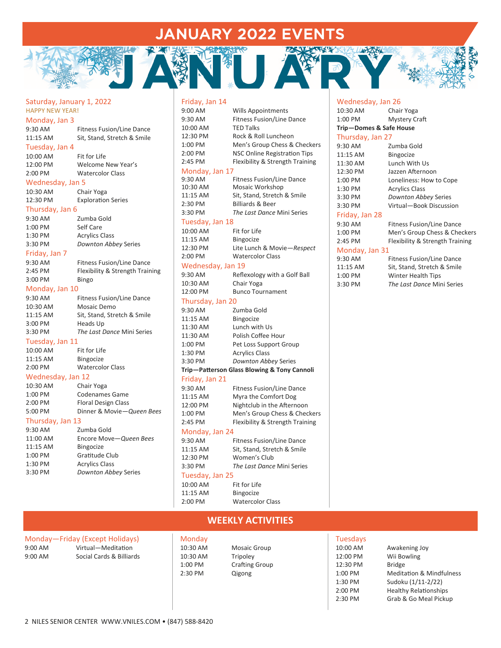## JANUARY 2022 EVENTS

#### Saturday, January 1, 2022 HAPPY NEW YEAR! Monday, Jan 3

| 9:30 AM        | <b>Fitness Fusion/Line Dance</b> |
|----------------|----------------------------------|
| 11:15 AM       | Sit, Stand, Stretch & Smile      |
| Tuesday, Jan 4 |                                  |
| 10:00 AM       | Fit for Life                     |
| 12:00 PM       | Welcome New Year's               |
| 2:00 PM        | <b>Watercolor Class</b>          |
|                |                                  |

#### Wednesday, Jan 5

| 10:30 AM | Chair Yoga                |
|----------|---------------------------|
| 12:30 PM | <b>Exploration Series</b> |

#### Thursday, Jan 6

| 9:30 AM       | Zumba Gold                       |
|---------------|----------------------------------|
| $1:00$ PM     | Self Care                        |
| 1:30 PM       | <b>Acrylics Class</b>            |
| 3:30 PM       | Downton Abbey Series             |
| Friday, Jan 7 |                                  |
| 9:30 AM       | <b>Fitness Fusion/Line Dance</b> |
| $2:45$ PM     | Flexibility & Strength Training  |
| 3:00 PM       | <b>Bingo</b>                     |

#### Monday, Jan 10

| 9:30 AM  | <b>Fitness Fusion/Line Dance</b> |
|----------|----------------------------------|
| 10:30 AM | Mosaic Demo                      |
| 11:15 AM | Sit, Stand, Stretch & Smile      |
| 3:00 PM  | Heads Up                         |
| 3:30 PM  | The Last Dance Mini Series       |
|          |                                  |

#### Tuesday, Jan 11

| 10:00 AM | Fit for Life            |
|----------|-------------------------|
| 11:15 AM | <b>Bingocize</b>        |
| 2:00 PM  | <b>Watercolor Class</b> |

## Wednesday, Jan 12

| 10:30 AM         | Chair Yoga                 |
|------------------|----------------------------|
| $1:00$ PM        | Codenames Game             |
| 2:00 PM          | <b>Floral Design Class</b> |
| 5:00 PM          | Dinner & Movie-Queen Bees  |
| Thursday, Jan 13 |                            |

### 9:30 AM Zumba Gold

|           | -----------            |
|-----------|------------------------|
| 11:00 AM  | Encore Move-Queen Bees |
| 11:15 AM  | <b>Bingocize</b>       |
| $1:00$ PM | Gratitude Club         |
| 1:30 PM   | <b>Acrylics Class</b>  |
| 3:30 PM   | Downton Abbey Series   |
|           |                        |

#### Friday, Jan 14

| 9:00 AM           | <b>Wills Appointments</b>                   |
|-------------------|---------------------------------------------|
| 9:30 AM           | <b>Fitness Fusion/Line Dance</b>            |
| 10:00 AM          | <b>TED Talks</b>                            |
| 12:30 PM          | Rock & Roll Luncheon                        |
| 1:00 PM           | Men's Group Chess & Checkers                |
| 2:00 PM           | <b>NSC Online Registration Tips</b>         |
| 2:45 PM           | Flexibility & Strength Training             |
| Monday, Jan 17    |                                             |
| 9:30 AM           | <b>Fitness Fusion/Line Dance</b>            |
| 10:30 AM          | Mosaic Workshop                             |
| 11:15 AM          | Sit, Stand, Stretch & Smile                 |
| 2:30 PM           | <b>Billiards &amp; Beer</b>                 |
| 3:30 PM           | The Last Dance Mini Series                  |
| Tuesday, Jan 18   |                                             |
| 10:00 AM          | Fit for Life                                |
| 11:15 AM          | <b>Bingocize</b>                            |
| 12:30 PM          | Lite Lunch & Movie-Respect                  |
| 2:00 PM           | <b>Watercolor Class</b>                     |
| Wednesday, Jan 19 |                                             |
| 9:30 AM           | Reflexology with a Golf Ball                |
| 10:30 AM          | Chair Yoga                                  |
| 12:00 PM          | <b>Bunco Tournament</b>                     |
| Thursday, Jan 20  |                                             |
| 9:30 AM           | Zumba Gold                                  |
| 11:15 AM          | <b>Bingocize</b>                            |
| 11:30 AM          | Lunch with Us                               |
| 11:30 AM          | Polish Coffee Hour                          |
| 1:00 PM           | Pet Loss Support Group                      |
| 1:30 PM           | <b>Acrylics Class</b>                       |
| 3:30 PM           | Downton Abbey Series                        |
|                   | Trip-Patterson Glass Blowing & Tony Cannoli |
| Friday, Jan 21    |                                             |
| 9:30 AM           | Fitness Fusion/Line Dance                   |
| 11:15 AM          | Myra the Comfort Dog                        |
| 12:00 PM          | Nightclub in the Afternoon                  |
| 1:00 PM           | Men's Group Chess & Checkers                |
| 2:45 PM           | Flexibility & Strength Training             |
| Monday, Jan 24    |                                             |
| 9:30 AM           | <b>Fitness Fusion/Line Dance</b>            |
| 11:15 AM          | Sit, Stand, Stretch & Smile                 |
| 12:30 PM          | Women's Club                                |
| 3:30 PM           | The Last Dance Mini Series                  |
|                   |                                             |

#### Tuesday, Jan 25

10:00 AM Fit for Life 11:15 AM Bingocize 2:00 PM Watercolor Class

#### **Trip—Domes & Safe House**

Wednesday, Jan 26 10:30 AM Chair Yoga 1:00 PM Mystery Craft

| Thursday, Jan 27 |                                  |  |
|------------------|----------------------------------|--|
| $9:30$ AM        | Zumba Gold                       |  |
| 11:15 AM         | <b>Bingocize</b>                 |  |
| 11:30 AM         | Lunch With Us                    |  |
| 12:30 PM         | Jazzen Afternoon                 |  |
| $1:00$ PM        | Loneliness: How to Cope          |  |
| 1:30 PM          | <b>Acrylics Class</b>            |  |
| 3:30 PM          | Downton Abbey Series             |  |
| 3:30 PM          | Virtual-Book Discussion          |  |
| Friday, Jan 28   |                                  |  |
| $9:30$ AM        | <b>Fitness Fusion/Line Dance</b> |  |
| $1:00$ PM        | Men's Group Chess & Checkers     |  |
| $2:45$ PM        | Flexibility & Strength Training  |  |
| Monday, Jan 31   |                                  |  |
| 9:30 AM          | <b>Fitness Fusion/Line Dance</b> |  |
| 11:15 AM         | Sit, Stand, Stretch & Smile      |  |
| 1:00 PM          | Winter Health Tips               |  |

3:30 PM *The Last Dance* Mini Series

## **WEEKLY ACTIVITIES**

|                   | Monday-Friday (Except Holidays) |
|-------------------|---------------------------------|
| $9:00 \text{ AM}$ | Virtual-Meditation              |
| $9:00$ AM         | Social Cards & Billiards        |

**Monday** 10:30 AM Mosaic Group 10:30 AM Tripoley<br>1:00 PM Crafting 2:30 PM Qigong

# Crafting Group

Tuesdays

| . <i>.</i> |                                     |
|------------|-------------------------------------|
| 10:00 AM   | Awakening Joy                       |
| 12:00 PM   | Wii Bowling                         |
| 12:30 PM   | <b>Bridge</b>                       |
| 1:00 PM    | <b>Meditation &amp; Mindfulness</b> |
| 1:30 PM    | Sudoku (1/11-2/22)                  |
| 2:00 PM    | <b>Healthy Relationships</b>        |
| 2:30 PM    | Grab & Go Meal Pickup               |
|            |                                     |